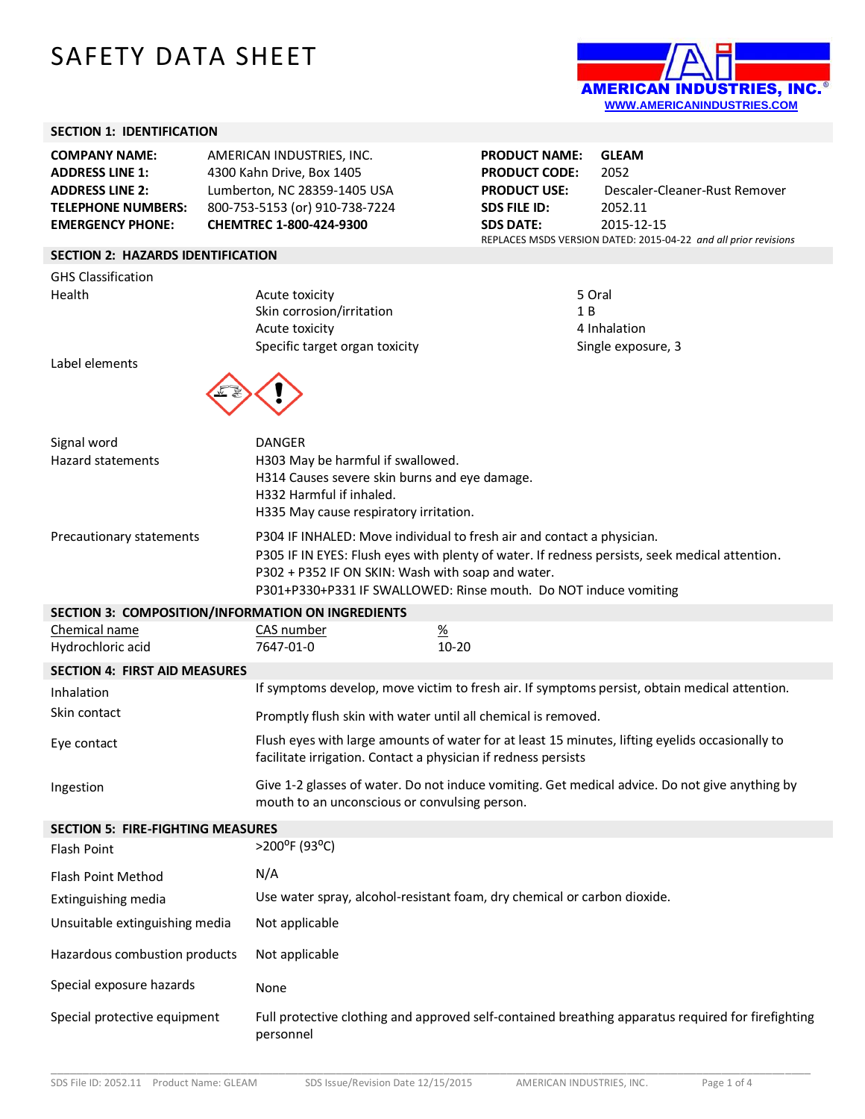# SAFETY DATA SHEET



#### **SECTION 1: IDENTIFICATION**

| <b>COMPANY NAME:</b>      | AMERICAN INDUSTRIES, INC.      |
|---------------------------|--------------------------------|
| <b>ADDRESS LINE 1:</b>    | 4300 Kahn Drive, Box 1405      |
| <b>ADDRESS LINE 2:</b>    | Lumberton, NC 28359-1405 USA   |
| <b>TELEPHONE NUMBERS:</b> | 800-753-5153 (or) 910-738-7224 |
| <b>EMERGENCY PHONE:</b>   | CHEMTREC 1-800-424-9300        |

#### **SECTION 2: HAZARDS IDENTIFICATION**

|        | <b>GHS Classification</b> |
|--------|---------------------------|
| Health |                           |

Acute toxicity Skin corrosion/irritation Acute toxicity Specific target organ toxicity Single exposure, 3

**PRODUCT NAME: GLEAM PRODUCT CODE:** 2052 **PRODUCT USE:** Descaler-Cleaner-Rust Remover **SDS FILE ID:** 2052.11 **SDS DATE:** 2015-12-15 REPLACES MSDS VERSION DATED: 2015-04-22 *and all prior revisions*

| 5 Oral             |
|--------------------|
| 1 B                |
| 4 Inhalation       |
| Single exposure, 3 |

Label elements



| Signal word              | DANGER                                                                                         |  |  |
|--------------------------|------------------------------------------------------------------------------------------------|--|--|
| <b>Hazard statements</b> | H303 May be harmful if swallowed.                                                              |  |  |
|                          | H314 Causes severe skin burns and eye damage.                                                  |  |  |
|                          | H332 Harmful if inhaled.                                                                       |  |  |
|                          | H335 May cause respiratory irritation.                                                         |  |  |
| Precautionary statements | P304 IF INHALED: Move individual to fresh air and contact a physician.                         |  |  |
|                          | P305 IF IN EYES: Flush eyes with plenty of water. If redness persists, seek medical attention. |  |  |
|                          | P302 + P352 IF ON SKIN: Wash with soap and water.                                              |  |  |
|                          | P301+P330+P331 IF SWALLOWED: Rinse mouth. Do NOT induce vomiting                               |  |  |

#### **SECTION 3: COMPOSITION/INFORMATION ON INGREDIENTS**

| Chemical name                        | CAS number | <u>%</u> |
|--------------------------------------|------------|----------|
| Hydrochloric acid                    | 7647-01-0  | 10-20    |
| <b>SECTION 4: FIRST AID MEASURES</b> |            |          |

| Inhalation   | If symptoms develop, move victim to fresh air. If symptoms persist, obtain medical attention.                                                                     |
|--------------|-------------------------------------------------------------------------------------------------------------------------------------------------------------------|
| Skin contact | Promptly flush skin with water until all chemical is removed.                                                                                                     |
| Eye contact  | Flush eyes with large amounts of water for at least 15 minutes, lifting eyelids occasionally to<br>facilitate irrigation. Contact a physician if redness persists |
| Ingestion    | Give 1-2 glasses of water. Do not induce vomiting. Get medical advice. Do not give anything by<br>mouth to an unconscious or convulsing person.                   |

| <b>SECTION 5: FIRE-FIGHTING MEASURES</b> |                                                                                                                 |  |
|------------------------------------------|-----------------------------------------------------------------------------------------------------------------|--|
| Flash Point                              | $>$ 200 <sup>o</sup> F (93 <sup>o</sup> C)                                                                      |  |
| <b>Flash Point Method</b>                | N/A                                                                                                             |  |
| Extinguishing media                      | Use water spray, alcohol-resistant foam, dry chemical or carbon dioxide.                                        |  |
| Unsuitable extinguishing media           | Not applicable                                                                                                  |  |
| Hazardous combustion products            | Not applicable                                                                                                  |  |
| Special exposure hazards                 | None                                                                                                            |  |
| Special protective equipment             | Full protective clothing and approved self-contained breathing apparatus required for firefighting<br>personnel |  |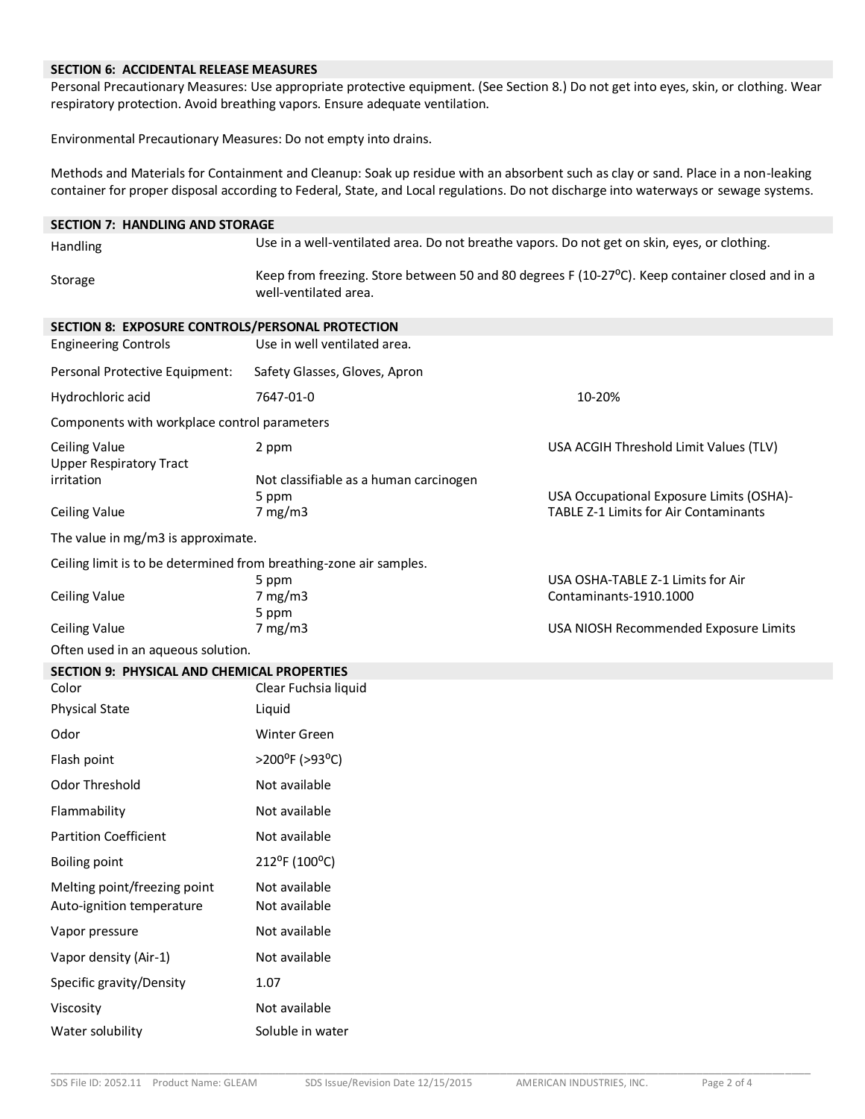#### **SECTION 6: ACCIDENTAL RELEASE MEASURES**

Personal Precautionary Measures: Use appropriate protective equipment. (See Section 8.) Do not get into eyes, skin, or clothing. Wear respiratory protection. Avoid breathing vapors. Ensure adequate ventilation.

Environmental Precautionary Measures: Do not empty into drains.

Methods and Materials for Containment and Cleanup: Soak up residue with an absorbent such as clay or sand. Place in a non-leaking container for proper disposal according to Federal, State, and Local regulations. Do not discharge into waterways or sewage systems.**7**

| <b>SECTION 7: HANDLING AND STORAGE</b>                             |                                                                                                                          |                                                                                          |
|--------------------------------------------------------------------|--------------------------------------------------------------------------------------------------------------------------|------------------------------------------------------------------------------------------|
| Handling                                                           | Use in a well-ventilated area. Do not breathe vapors. Do not get on skin, eyes, or clothing.                             |                                                                                          |
| Storage                                                            | Keep from freezing. Store between 50 and 80 degrees F (10-27°C). Keep container closed and in a<br>well-ventilated area. |                                                                                          |
| SECTION 8: EXPOSURE CONTROLS/PERSONAL PROTECTION                   |                                                                                                                          |                                                                                          |
| <b>Engineering Controls</b>                                        | Use in well ventilated area.                                                                                             |                                                                                          |
| Personal Protective Equipment:                                     | Safety Glasses, Gloves, Apron                                                                                            |                                                                                          |
| Hydrochloric acid                                                  | 7647-01-0                                                                                                                | 10-20%                                                                                   |
| Components with workplace control parameters                       |                                                                                                                          |                                                                                          |
| <b>Ceiling Value</b><br><b>Upper Respiratory Tract</b>             | 2 ppm                                                                                                                    | USA ACGIH Threshold Limit Values (TLV)                                                   |
| irritation                                                         | Not classifiable as a human carcinogen                                                                                   |                                                                                          |
| <b>Ceiling Value</b>                                               | 5 ppm<br>7 mg/m3                                                                                                         | USA Occupational Exposure Limits (OSHA)-<br><b>TABLE Z-1 Limits for Air Contaminants</b> |
| The value in mg/m3 is approximate.                                 |                                                                                                                          |                                                                                          |
| Ceiling limit is to be determined from breathing-zone air samples. |                                                                                                                          |                                                                                          |
| <b>Ceiling Value</b>                                               | 5 ppm<br>7 mg/m3                                                                                                         | USA OSHA-TABLE Z-1 Limits for Air<br>Contaminants-1910.1000                              |
| <b>Ceiling Value</b>                                               | 5 ppm<br>$7 \text{ mg/m}$ 3                                                                                              | USA NIOSH Recommended Exposure Limits                                                    |
| Often used in an aqueous solution.                                 |                                                                                                                          |                                                                                          |
| SECTION 9: PHYSICAL AND CHEMICAL PROPERTIES                        |                                                                                                                          |                                                                                          |
| Color                                                              | Clear Fuchsia liquid                                                                                                     |                                                                                          |
| <b>Physical State</b>                                              | Liquid                                                                                                                   |                                                                                          |
| Odor                                                               | <b>Winter Green</b>                                                                                                      |                                                                                          |
| Flash point                                                        | >200°F (>93°C)                                                                                                           |                                                                                          |
| Odor Threshold                                                     | Not available                                                                                                            |                                                                                          |
| Flammability                                                       | Not available                                                                                                            |                                                                                          |
| <b>Partition Coefficient</b>                                       | Not available                                                                                                            |                                                                                          |
| <b>Boiling point</b>                                               | 212°F (100°C)                                                                                                            |                                                                                          |
| Melting point/freezing point<br>Auto-ignition temperature          | Not available<br>Not available                                                                                           |                                                                                          |
| Vapor pressure                                                     | Not available                                                                                                            |                                                                                          |
| Vapor density (Air-1)                                              | Not available                                                                                                            |                                                                                          |
| Specific gravity/Density                                           | 1.07                                                                                                                     |                                                                                          |
| Viscosity                                                          | Not available                                                                                                            |                                                                                          |
| Water solubility                                                   | Soluble in water                                                                                                         |                                                                                          |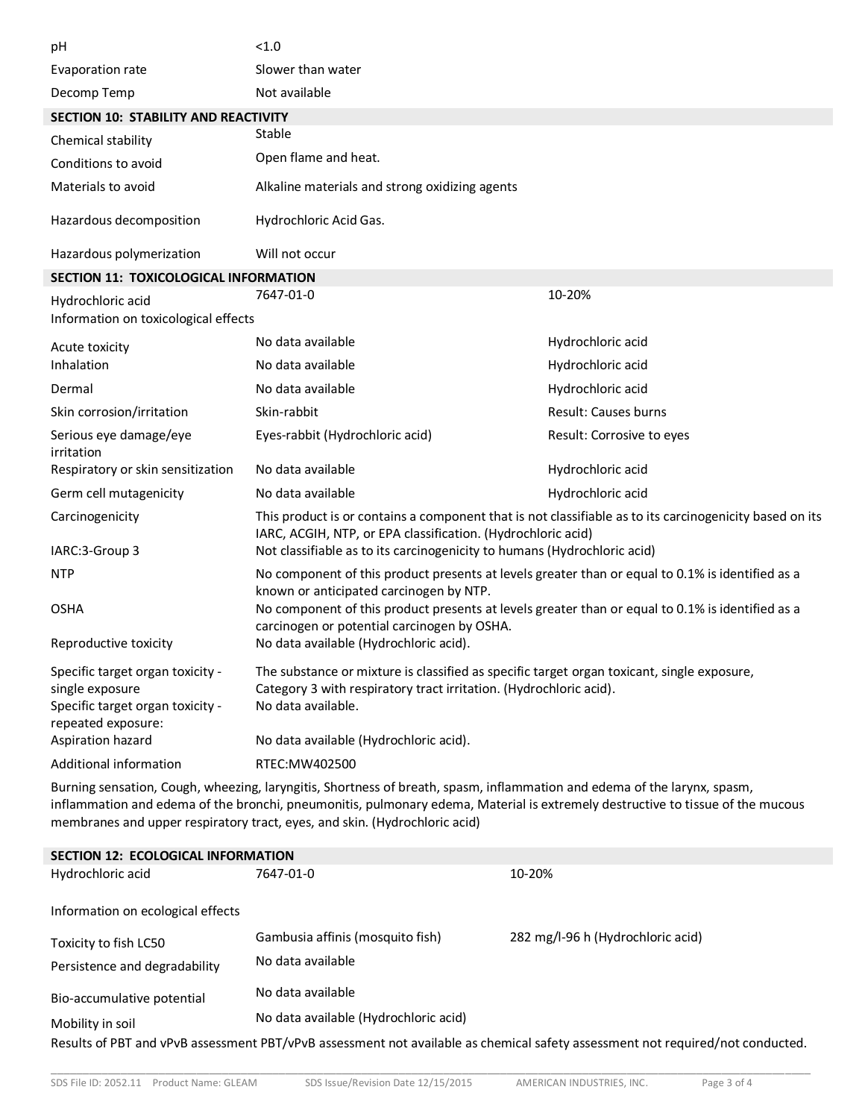| рH                                                                                                                                 | < 1.0                                                                                                                                                                                  |                             |
|------------------------------------------------------------------------------------------------------------------------------------|----------------------------------------------------------------------------------------------------------------------------------------------------------------------------------------|-----------------------------|
| Evaporation rate                                                                                                                   | Slower than water                                                                                                                                                                      |                             |
| Decomp Temp                                                                                                                        | Not available                                                                                                                                                                          |                             |
| <b>SECTION 10: STABILITY AND REACTIVITY</b>                                                                                        |                                                                                                                                                                                        |                             |
| Chemical stability                                                                                                                 | Stable                                                                                                                                                                                 |                             |
| Conditions to avoid                                                                                                                | Open flame and heat.                                                                                                                                                                   |                             |
| Materials to avoid                                                                                                                 | Alkaline materials and strong oxidizing agents                                                                                                                                         |                             |
| Hazardous decomposition                                                                                                            | Hydrochloric Acid Gas.                                                                                                                                                                 |                             |
| Hazardous polymerization                                                                                                           | Will not occur                                                                                                                                                                         |                             |
| SECTION 11: TOXICOLOGICAL INFORMATION                                                                                              |                                                                                                                                                                                        |                             |
| Hydrochloric acid                                                                                                                  | 7647-01-0                                                                                                                                                                              | 10-20%                      |
| Information on toxicological effects                                                                                               |                                                                                                                                                                                        |                             |
| Acute toxicity                                                                                                                     | No data available                                                                                                                                                                      | Hydrochloric acid           |
| Inhalation                                                                                                                         | No data available                                                                                                                                                                      | Hydrochloric acid           |
| Dermal                                                                                                                             | No data available                                                                                                                                                                      | Hydrochloric acid           |
| Skin corrosion/irritation                                                                                                          | Skin-rabbit                                                                                                                                                                            | <b>Result: Causes burns</b> |
| Serious eye damage/eye<br>irritation                                                                                               | Eyes-rabbit (Hydrochloric acid)                                                                                                                                                        | Result: Corrosive to eyes   |
| Respiratory or skin sensitization                                                                                                  | No data available                                                                                                                                                                      | Hydrochloric acid           |
| Germ cell mutagenicity                                                                                                             | No data available                                                                                                                                                                      | Hydrochloric acid           |
| Carcinogenicity                                                                                                                    | This product is or contains a component that is not classifiable as to its carcinogenicity based on its<br>IARC, ACGIH, NTP, or EPA classification. (Hydrochloric acid)                |                             |
| IARC:3-Group 3                                                                                                                     | Not classifiable as to its carcinogenicity to humans (Hydrochloric acid)                                                                                                               |                             |
| <b>NTP</b>                                                                                                                         | No component of this product presents at levels greater than or equal to 0.1% is identified as a<br>known or anticipated carcinogen by NTP.                                            |                             |
| <b>OSHA</b>                                                                                                                        | No component of this product presents at levels greater than or equal to 0.1% is identified as a<br>carcinogen or potential carcinogen by OSHA.                                        |                             |
| Reproductive toxicity                                                                                                              | No data available (Hydrochloric acid).                                                                                                                                                 |                             |
| Specific target organ toxicity -<br>single exposure<br>Specific target organ toxicity -<br>repeated exposure:<br>Aspiration hazard | The substance or mixture is classified as specific target organ toxicant, single exposure,<br>Category 3 with respiratory tract irritation. (Hydrochloric acid).<br>No data available. |                             |
| Additional information                                                                                                             | No data available (Hydrochloric acid).<br>RTEC:MW402500                                                                                                                                |                             |
| Burning sensation, Cough, wheezing, laryngitis, Shortness of breath, spasm, inflammation and edema of the larynx, spasm,           |                                                                                                                                                                                        |                             |
|                                                                                                                                    |                                                                                                                                                                                        |                             |

inflammation and edema of the bronchi, pneumonitis, pulmonary edema, Material is extremely destructive to tissue of the mucous membranes and upper respiratory tract, eyes, and skin. (Hydrochloric acid)

| SECTION 12: ECOLOGICAL INFORMATION |                                       |                                                                                                                                |
|------------------------------------|---------------------------------------|--------------------------------------------------------------------------------------------------------------------------------|
| Hydrochloric acid                  | 7647-01-0                             | 10-20%                                                                                                                         |
| Information on ecological effects  |                                       |                                                                                                                                |
| Toxicity to fish LC50              | Gambusia affinis (mosquito fish)      | 282 mg/l-96 h (Hydrochloric acid)                                                                                              |
| Persistence and degradability      | No data available                     |                                                                                                                                |
| Bio-accumulative potential         | No data available                     |                                                                                                                                |
| Mobility in soil                   | No data available (Hydrochloric acid) |                                                                                                                                |
|                                    |                                       | Results of PBT and vPvB assessment PBT/vPvB assessment not available as chemical safety assessment not required/not conducted. |